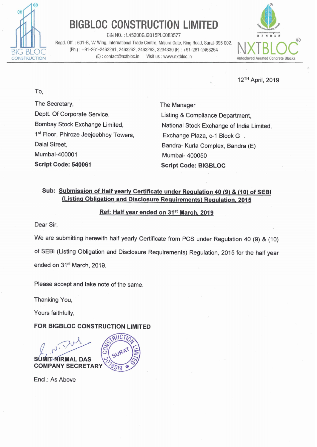

# **BIGBLOC CONSTRUCTION LIMITED**

CIN NO. : L45200GJ2015PLC083577 **~am"uY1~**  Regd. Off. : 601 -B, 'A' Wing, International Trade Centre, Majura Gate, Ring Road, Surat-395 002. CIN NO. : L45200GJ2015PLC083577<br>
Regd. Off. : 601-B, 'A' Wing, International Trade Centre, Majura Gate, Ring Road, Surat-395 002.<br>
(Ph.) : +91-261-2463261, 2463262, 2463263, 3234330 (F) : +91-261-2463264 (E) : contact@nxtb UCCON **(E)**: contact@nxtbloc.in Visit us : www.nxtbloc.in **Autoclaved Aerated Concrete Blocks** 



12TH April, 2019

To,

The Secretary, Deptt. Of Corporate Service, Bombay Stock Exchange Limited, 1<sup>st</sup> Floor, Phiroze Jeejeebhoy Towers, Dalal Street, Mumbai-400001 **Script Code: 540061** 

The Manager Listing & Compliance Department, National Stock Exchange of India Limited, Exchange Plaza, c-1 Block G. Bandra- Kurla Complex, Bandra (E) Mumbai- 400050 **Script Code: BIGBLOC** 

## **Sub: Submission of Half yearlv Certificate under Reaulation 40 (9)** & **(10) of SEBl {Listing Obliaation and Disclosure Reauirements) Regulation. 2015**

### **Ref: Half year ended on 31"' March. 2019**

Dear Sir,

We are submitting herewith half yearly Certificate from PCS under Regulation 40 (9) & (10) of SEBl (Listing Obligation and Disclosure Requirements) Regulation, 2015 for the half year ended on **3Ist** March, 2019.

Please accept and take note of the same.

Thanking You,

Yours faithfully,

**FOR BIGBLOC CONSTRUCTION LIMITED** 



Encl.: As Above